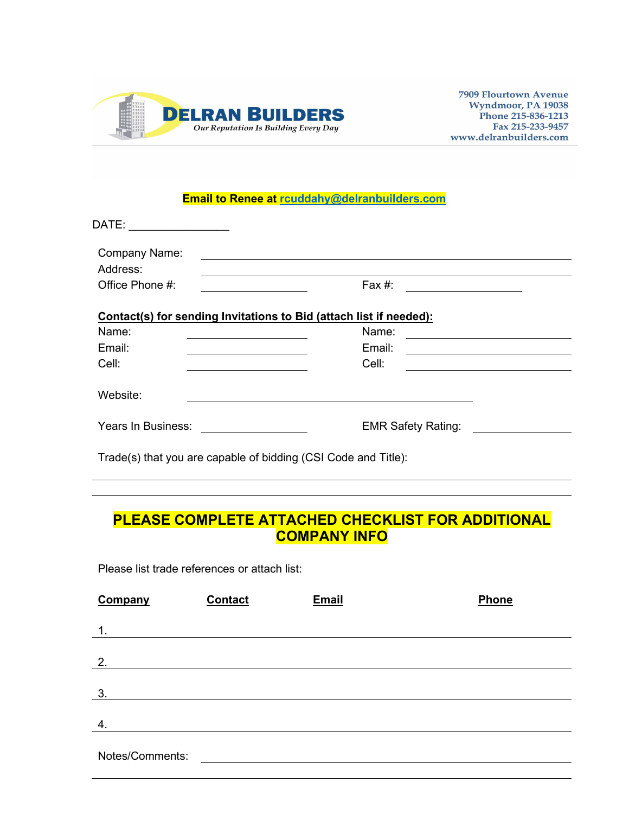

**7909 Flourtown Avenue** Wyndmoor, PA 19038 Phone 215-836-1213 Fax 215-233-9457 www.delranbuilders.com

## **Email to Renee at [rcuddahy@delranbuilders.com](mailto:rcuddahy@delranbuilders.com)**

| DATE:                                                              |                                                                       |
|--------------------------------------------------------------------|-----------------------------------------------------------------------|
| Company Name:<br>Address:                                          |                                                                       |
| Office Phone #:                                                    | Fax #:                                                                |
| Contact(s) for sending Invitations to Bid (attach list if needed): |                                                                       |
| Name:                                                              | Name:                                                                 |
| Email:                                                             | Email:<br><u> 1989 - Johann Stein, mars an de Francisco (f. 1989)</u> |
| Cell:                                                              | Cell:                                                                 |
| Website:                                                           |                                                                       |
| Years In Business:                                                 | <b>EMR Safety Rating:</b>                                             |
|                                                                    |                                                                       |

Trade(s) that you are capable of bidding (CSI Code and Title):

# **PLEASE COMPLETE ATTACHED CHECKLIST FOR ADDITIONAL COMPANY INFO**

Please list trade references or attach list:

| Company         | <b>Contact</b> | <b>Email</b> | Phone |
|-----------------|----------------|--------------|-------|
| $\mathbf 1$ .   |                |              |       |
|                 |                |              |       |
| 2.              |                |              |       |
|                 |                |              |       |
| 3.              |                |              |       |
| 4.              |                |              |       |
|                 |                |              |       |
| Notes/Comments: |                |              |       |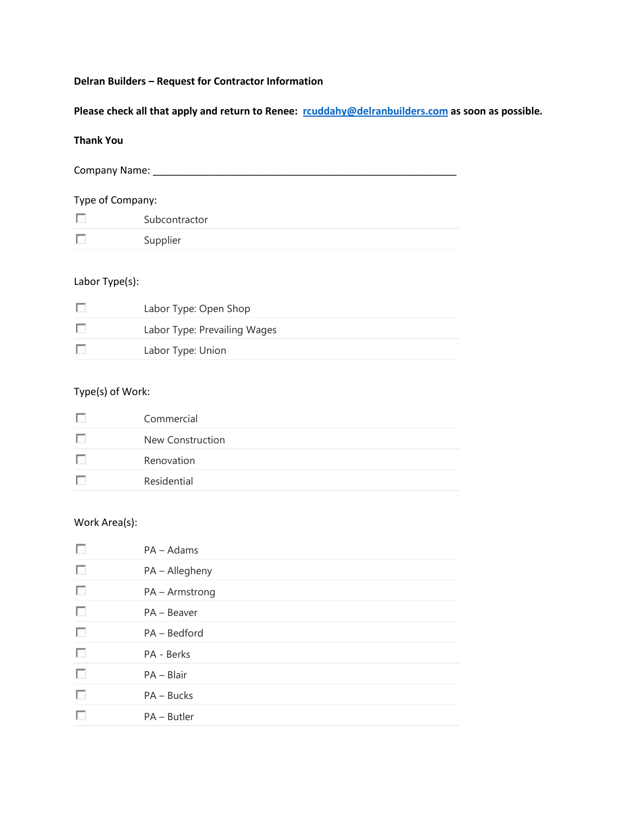#### **Delran Builders – Request for Contractor Information**

**Please check all that apply and return to Renee: [rcuddahy@delranbuilders.com](mailto:rcuddahy@delranbuilders.com) as soon as possible.**

#### **Thank You**

Company Name: \_\_\_\_\_\_\_\_\_\_\_\_\_\_\_\_\_\_\_\_\_\_\_\_\_\_\_\_\_\_\_\_\_\_\_\_\_\_\_\_\_\_\_\_\_\_\_\_\_\_\_\_\_\_

## Type of Company:

| Subcontractor |
|---------------|
| Supplier      |

#### Labor Type(s):

| <b>Allen</b> | Labor Type: Open Shop        |
|--------------|------------------------------|
| Е            | Labor Type: Prevailing Wages |
| F.           | Labor Type: Union            |

#### Type(s) of Work:

| Commercial       |
|------------------|
| New Construction |
| Renovation       |
| Residential      |

#### Work Area(s):

- $\sim$ PA – Adams
- $\overline{\mathcal{L}_{\mathcal{A}}}$ PA – Allegheny
- $\sim$ PA – Armstrong
- $\overline{\mathcal{L}_{\mathcal{A}}}$ PA – Beaver
- $\sim$ PA – Bedford
- $\overline{\mathcal{L}_{\mathcal{N}}}$ PA - Berks
- $\mathcal{L}_{\mathcal{A}}$ PA – Blair
- $\overline{\mathcal{L}_{\mathcal{A}}}$ PA – Bucks
- $\sim$ PA – Butler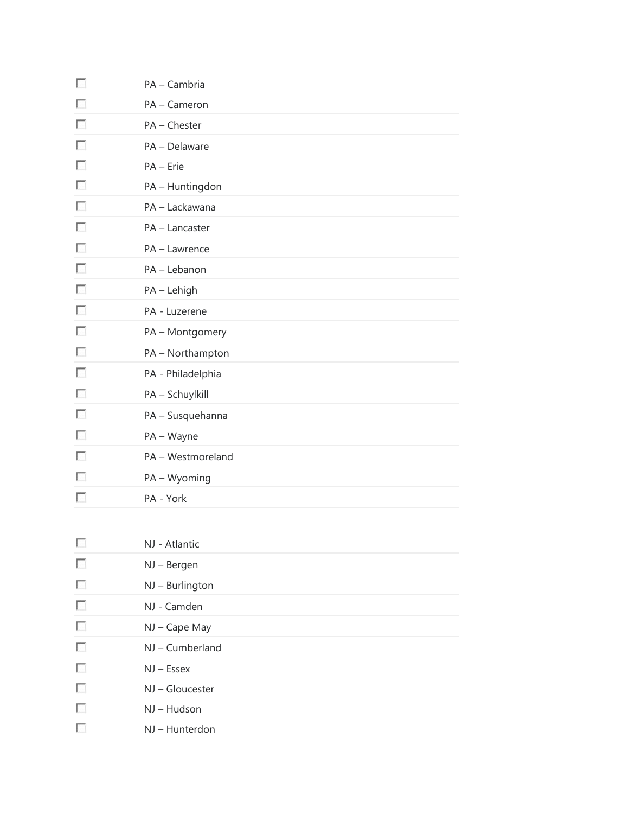| п              | PA - Cambria      |
|----------------|-------------------|
|                | PA - Cameron      |
| <b>College</b> | PA - Chester      |
| $\sim$         | PA - Delaware     |
| <b>College</b> | PA - Erie         |
|                | PA - Huntingdon   |
| $\sim$         | PA - Lackawana    |
| п              | PA - Lancaster    |
| L.             | PA - Lawrence     |
| $\sim$         | PA - Lebanon      |
| $\sim$         | PA - Lehigh       |
| п              | PA - Luzerene     |
| <b>College</b> | PA - Montgomery   |
| <b>College</b> | PA - Northampton  |
| $\sim$         | PA - Philadelphia |
| п              | PA - Schuylkill   |
| L.             | PA - Susquehanna  |
| $\sim$         | PA - Wayne        |
| <b>College</b> | PA - Westmoreland |
| $\sim$         | PA - Wyoming      |
| L.             | PA - York         |
|                |                   |
|                | NJ - Atlantic     |
|                | NJ - Bergen       |
| п              | NJ - Burlington   |
| $\sim$         | NJ - Camden       |
| п              | NJ - Cape May     |
| <b>College</b> | NJ - Cumberland   |
| п              | $NJ - Essex$      |
| <b>College</b> | NJ - Gloucester   |
| п              | NJ - Hudson       |
| П              | NJ - Hunterdon    |
|                |                   |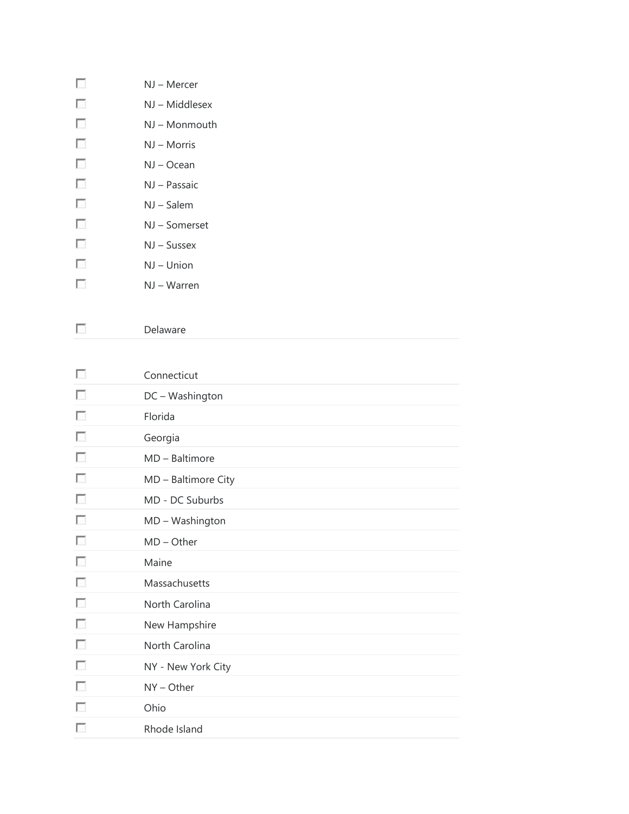| NJ – Mercer    |
|----------------|
| NJ – Middlesex |

- NJ Monmouth
- $\mathcal{L}_{\mathcal{A}}$ NJ – Morris

 $\overline{\mathcal{L}_{\mathcal{A}}}$ 

 $\overline{\mathcal{L}_{\mathcal{A}}}$ 

 $\overline{\mathcal{L}_{\mathcal{C}}^{\mathcal{C}}}$  $\overline{\phantom{a}}$  $\overline{\mathcal{L}_{\mathcal{A}}}$  $\overline{\mathcal{L}_{\mathcal{A}}}$ 

 $\mathcal{L}_{\mathcal{A}}$ 

 $\overline{\mathcal{L}_{\mathcal{A}}}$ 

- NJ Ocean
- $\mathcal{L}_{\mathcal{L}}$ NJ – Passaic
	- NJ Salem
	- NJ Somerset
		- NJ Sussex
		- NJ Union
- $\overline{\mathcal{L}_{\mathcal{C}}^{\mathcal{C}}}$ NJ – Warren
- $\overline{\mathcal{L}_{\mathcal{A}}}$ Delaware
- $\overline{\mathcal{L}_{\mathcal{A}}}$ Connecticut
- $\overline{\mathcal{L}_{\mathcal{A}}}$ DC – Washington
	- Florida
- $\overline{\mathcal{L}_{\mathcal{A}}}$ Georgia
- $\overline{\mathcal{L}_{\mathcal{A}}}$ MD – Baltimore
- $\overline{\mathcal{L}}$ MD – Baltimore City
	- MD DC Suburbs
- $\overline{\mathcal{L}_{\mathcal{A}}}$ MD – Washington
- $\overline{\mathcal{L}_{\mathcal{A}}}$ MD – Other
- $\mathcal{L}_{\mathcal{L}}$ Maine
- $\mathcal{L}_{\mathcal{A}}$ Massachusetts
- $\overline{\mathcal{L}_{\mathcal{A}}}$ North Carolina
- $\overline{\mathcal{L}_{\mathcal{A}}}$ New Hampshire
- $\overline{\mathcal{L}_{\mathcal{C}}^{\mathcal{C}}}$ North Carolina
- $\mathcal{L}_{\mathcal{A}}$ NY - New York City
- $\mathcal{L}_{\mathcal{L}}$ NY – Other
- $\overline{\mathcal{L}_{\mathcal{C}}^{\mathcal{C}}}$ Ohio
- $\overline{\mathcal{L}}$ Rhode Island